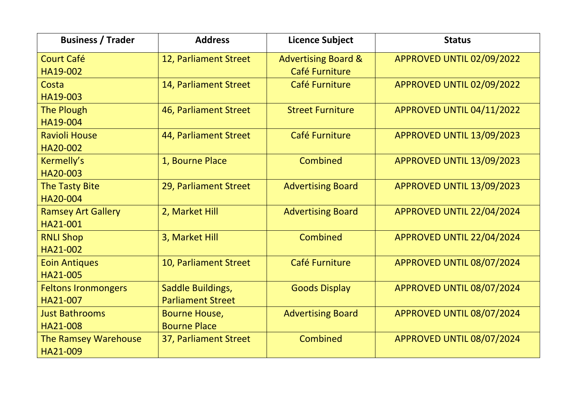| <b>Business / Trader</b>               | <b>Address</b>                                | <b>Licence Subject</b>                           | <b>Status</b>             |
|----------------------------------------|-----------------------------------------------|--------------------------------------------------|---------------------------|
| <b>Court Café</b><br>HA19-002          | 12, Parliament Street                         | <b>Advertising Board &amp;</b><br>Café Furniture | APPROVED UNTIL 02/09/2022 |
| Costa<br>HA19-003                      | 14, Parliament Street                         | Café Furniture                                   | APPROVED UNTIL 02/09/2022 |
| <b>The Plough</b><br>HA19-004          | 46, Parliament Street                         | <b>Street Furniture</b>                          | APPROVED UNTIL 04/11/2022 |
| <b>Ravioli House</b><br>HA20-002       | 44, Parliament Street                         | Café Furniture                                   | APPROVED UNTIL 13/09/2023 |
| Kermelly's<br>HA20-003                 | 1, Bourne Place                               | Combined                                         | APPROVED UNTIL 13/09/2023 |
| <b>The Tasty Bite</b><br>HA20-004      | 29, Parliament Street                         | <b>Advertising Board</b>                         | APPROVED UNTIL 13/09/2023 |
| <b>Ramsey Art Gallery</b><br>HA21-001  | 2, Market Hill                                | <b>Advertising Board</b>                         | APPROVED UNTIL 22/04/2024 |
| <b>RNLI Shop</b><br>HA21-002           | 3, Market Hill                                | Combined                                         | APPROVED UNTIL 22/04/2024 |
| <b>Eoin Antiques</b><br>HA21-005       | 10, Parliament Street                         | Café Furniture                                   | APPROVED UNTIL 08/07/2024 |
| <b>Feltons Ironmongers</b><br>HA21-007 | Saddle Buildings,<br><b>Parliament Street</b> | <b>Goods Display</b>                             | APPROVED UNTIL 08/07/2024 |
| <b>Just Bathrooms</b><br>HA21-008      | <b>Bourne House,</b><br><b>Bourne Place</b>   | <b>Advertising Board</b>                         | APPROVED UNTIL 08/07/2024 |
| The Ramsey Warehouse<br>HA21-009       | 37, Parliament Street                         | Combined                                         | APPROVED UNTIL 08/07/2024 |